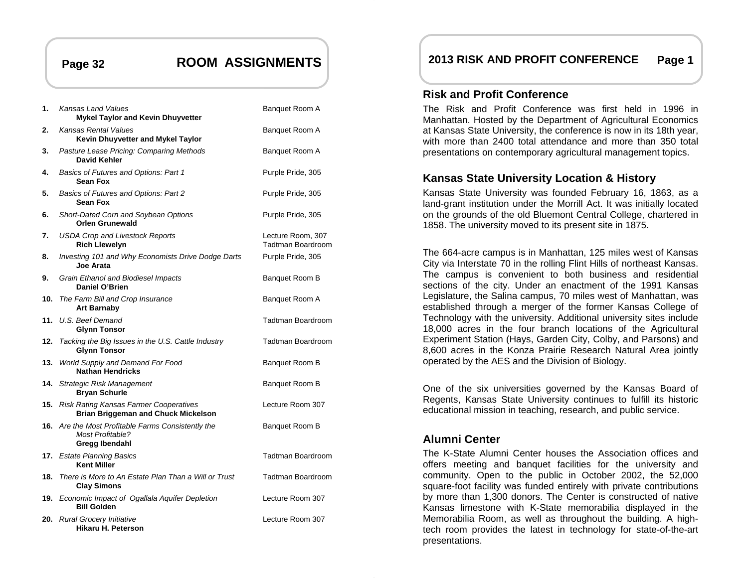## **Page 32 ROOM ASSIGNMENTS**

| 1.  | Kansas Land Values<br><b>Mykel Taylor and Kevin Dhuyvetter</b>                                  | Banquet Room A                         |
|-----|-------------------------------------------------------------------------------------------------|----------------------------------------|
| 2.  | Kansas Rental Values<br>Kevin Dhuyvetter and Mykel Taylor                                       | Banquet Room A                         |
| 3.  | Pasture Lease Pricing: Comparing Methods<br>David Kehler                                        | Banquet Room A                         |
| 4.  | Basics of Futures and Options: Part 1<br><b>Sean Fox</b>                                        | Purple Pride, 305                      |
| 5.  | Basics of Futures and Options: Part 2<br><b>Sean Fox</b>                                        | Purple Pride, 305                      |
| 6.  | Short-Dated Corn and Soybean Options<br><b>Orlen Grunewald</b>                                  | Purple Pride, 305                      |
| 7.  | <b>USDA Crop and Livestock Reports</b><br><b>Rich Llewelyn</b>                                  | Lecture Room, 307<br>Tadtman Boardroom |
| 8.  | Investing 101 and Why Economists Drive Dodge Darts<br>Joe Arata                                 | Purple Pride, 305                      |
| 9.  | Grain Ethanol and Biodiesel Impacts<br><b>Daniel O'Brien</b>                                    | Banquet Room B                         |
| 10. | The Farm Bill and Crop Insurance<br><b>Art Barnaby</b>                                          | Banquet Room A                         |
| 11. | U.S. Beef Demand<br><b>Glynn Tonsor</b>                                                         | Tadtman Boardroom                      |
| 12. | Tacking the Big Issues in the U.S. Cattle Industry<br><b>Glynn Tonsor</b>                       | Tadtman Boardroom                      |
| 13. | World Supply and Demand For Food<br><b>Nathan Hendricks</b>                                     | Banquet Room B                         |
| 14. | <b>Strategic Risk Management</b><br><b>Bryan Schurle</b>                                        | Banquet Room B                         |
| 15. | <b>Risk Rating Kansas Farmer Cooperatives</b><br><b>Brian Briggeman and Chuck Mickelson</b>     | Lecture Room 307                       |
|     | 16. Are the Most Profitable Farms Consistently the<br><b>Most Profitable?</b><br>Gregg Ibendahl | Banquet Room B                         |
|     | 17. Estate Planning Basics<br><b>Kent Miller</b>                                                | Tadtman Boardroom                      |
| 18. | There is More to An Estate Plan Than a Will or Trust<br><b>Clay Simons</b>                      | Tadtman Boardroom                      |
| 19. | Economic Impact of Ogallala Aquifer Depletion<br><b>Bill Golden</b>                             | Lecture Room 307                       |
|     | 20. Rural Grocery Initiative<br>Hikaru H. Peterson                                              | Lecture Room 307                       |

## **2013 RISK AND PROFIT CONFERENCE Page 1**

## **Risk and Profit Conference**

The Risk and Profit Conference was first held in 1996 in Manhattan. Hosted by the Department of Agricultural Economics at Kansas State University, the conference is now in its 18th year, with more than 2400 total attendance and more than 350 total presentations on contemporary agricultural management topics.

## **Kansas State University Location & History**

Kansas State University was founded February 16, 1863, as a land-grant institution under the Morrill Act. It was initially located on the grounds of the old Bluemont Central College, chartered in 1858. The university moved to its present site in 1875.

The 664-acre campus is in Manhattan, 125 miles west of Kansas City via Interstate 70 in the rolling Flint Hills of northeast Kansas. The campus is convenient to both business and residential sections of the city. Under an enactment of the 1991 Kansas Legislature, the Salina campus, 70 miles west of Manhattan, was established through a merger of the former Kansas College of Technology with the university. Additional university sites include 18,000 acres in the four branch locations of the Agricultural Experiment Station (Hays, Garden City, Colby, and Parsons) and 8,600 acres in the Konza Prairie Research Natural Area jointly operated by the AES and the Division of Biology.

One of the six universities governed by the Kansas Board of Regents, Kansas State University continues to fulfill its historic educational mission in teaching, research, and public service.

## **Alumni Center**

The K-State Alumni Center houses the Association offices and offers meeting and banquet facilities for the university and community. Open to the public in October 2002, the 52,000 square-foot facility was funded entirely with private contributions by more than 1,300 donors. The Center is constructed of native Kansas limestone with K-State memorabilia displayed in the Memorabilia Room, as well as throughout the building. A hightech room provides the latest in technology for state-of-the-art presentations.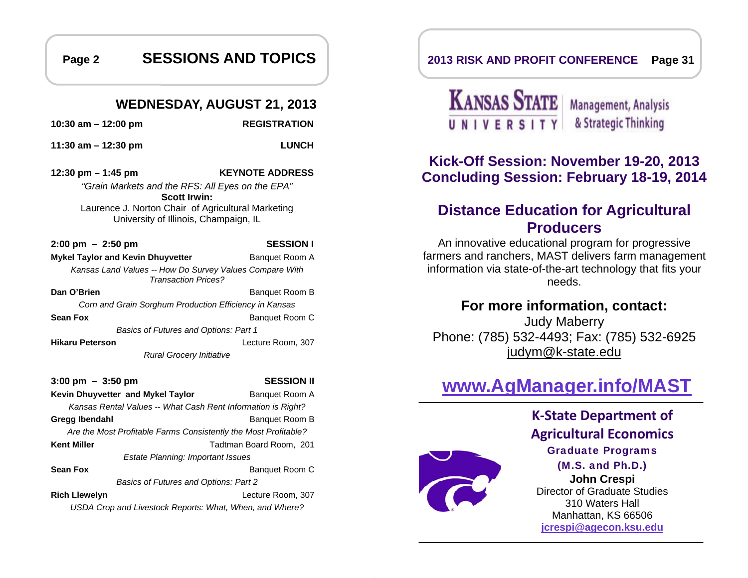**Page 2 SESSIONS AND TOPICS** 

## **WEDNESDAY, AUGUST 21, 2013**

**10:30 am – 12:00 pm REGISTRATION** 

**11:30 am – 12:30 pm LUNCH** 

**12:30 pm – 1:45 pm KEYNOTE ADDRESS**  *"Grain Markets and the RFS: All Eyes on the EPA"*  **Scott Irwin:** Laurence J. Norton Chair of Agricultural Marketing University of Illinois, Champaign, IL

**2:00 pm – 2:50 pm SESSION I Mykel Taylor and Kevin Dhuyvetter <b>Banquet Room A** *Kansas Land Values -- How Do Survey Values Compare With Transaction Prices?* **Dan O'Brien** Banquet Room B *Corn and Grain Sorghum Production Efficiency in Kansas*  **Sean Fox** Banquet Room C *Basics of Futures and Options: Part 1*  **Hikaru Peterson** Lecture Room, 307 *Rural Grocery Initiative* 

**3:00 pm – 3:50 pm SESSION II Kevin Dhuyvetter and Mykel Taylor Banquet Room A** *Kansas Rental Values -- What Cash Rent Information is Right?*  **Gregg Ibendahl** Banquet Room B *Are the Most Profitable Farms Consistently the Most Profitable?*  **Kent Miller**  Tadtman Board Room, 201 *Estate Planning: Important Issues*  **Sean Fox** Banquet Room C *Basics of Futures and Options: Part 2*  **Rich Llewelyn** Lecture Room, 307 *USDA Crop and Livestock Reports: What, When, and Where?* 

## **2013 RISK AND PROFIT CONFERENCE Page 31**



## **Kick-Off Session: November 19-20, 2013 Concluding Session: February 18-19, 2014**

## **Distance Education for Agricultural Producers**

An innovative educational program for progressive farmers and ranchers, MAST delivers farm management information via state-of-the-art technology that fits your needs.

## **For more information, contact:**

Judy Maberry Phone: (785) 532-4493; Fax: (785) 532-6925 judym@k-state.edu

# **www.AgManager.info/MAST**



**K-State Department of Agricultural Economics** Graduate Programs (M.S. and Ph.D.) **John Crespi**  Director of Graduate Studies 310 Waters Hall Manhattan, KS 66506 **jcrespi@agecon.ksu.edu**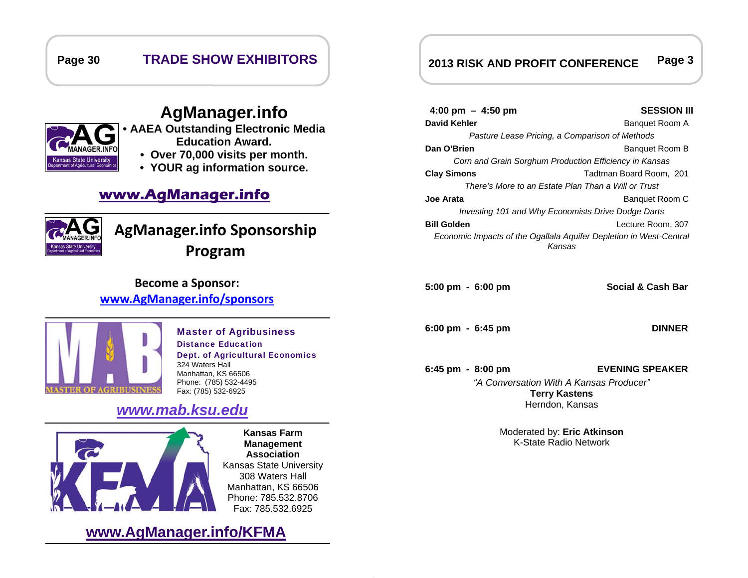## **Page 30 TRADE SHOW EXHIBITORS**



## **AgManager.info**

- **AAEA Outstanding Electronic Media Education Award.** 
	- **Over 70,000 visits per month.**
	- **YOUR ag information source.**

## **www.AgManager.info**



# **AgManager.info Sponsorship Program**

## **Become a Sponsor: www.AgManager.info/sponsors**



#### Master of Agribusiness Distance Education Dept. of Agricultural Economics 324 Waters Hall Manhattan, KS 66506 Phone: (785) 532-4495 Fax: (785) 532-6925

## *www.mab.ksu.edu*



**Kansas Farm Management Association**  Kansas State University 308 Waters Hall Manhattan, KS 66506 Phone: 785.532.8706 Fax: 785.532.6925

## **www.AgManager.info/KFMA**

## **2013 RISK AND PROFIT CONFERENCE Page 3**

### **4:00 pm – 4:50 pm SESSION III David Kehler Banquet Room A** *Pasture Lease Pricing, a Comparison of Methods*  **Dan O'Brien Banquet Room B** *Corn and Grain Sorghum Production Efficiency in Kansas*  **Clay Simons** Tadtman Board Room, 201 *There's More to an Estate Plan Than a Will or Trust* **Joe Arata** Banquet Room C *Investing 101 and Why Economists Drive Dodge Darts*  **Bill Golden** Lecture Room, 307 *Economic Impacts of the Ogallala Aquifer Depletion in West-Central Kansas*

**5:00 pm - 6:00 pm Social & Cash Bar**

**6:00 pm - 6:45 pm DINNER** 

**6:45 pm - 8:00 pm EVENING SPEAKER**  *"A Conversation With A Kansas Producer"***Terry Kastens**  Herndon, Kansas

> Moderated by: **Eric Atkinson**  K-State Radio Network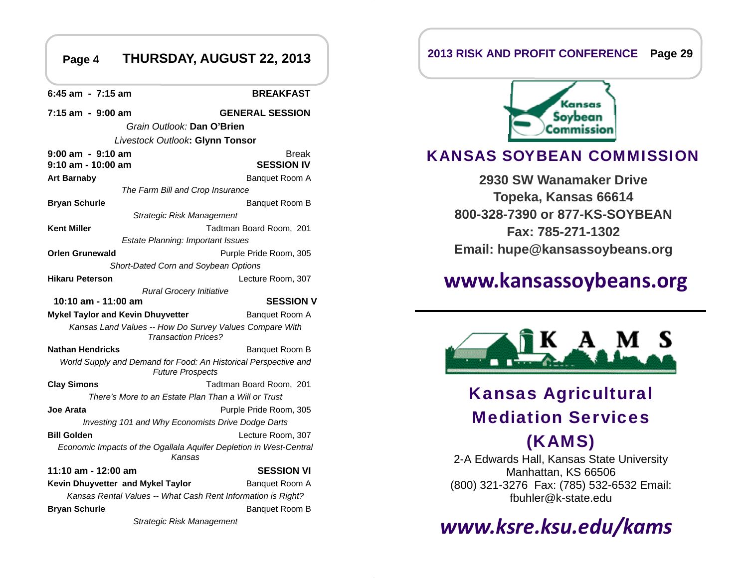#### **THURSDAY, AUGUST 22, 2013 Page 4 Page 29 2013 RISK AND PROFIT CONFERENCE**

**6:45 am - 7:15 am BREAKFAST 7:15 am - 9:00 am GENERAL SESSION**  *Grain Outlook:* **Dan O'Brien** *Livestock Outlook***: Glynn Tonsor 9:00 am - 9:10 am Am Break** Break **9:10 am - 10:00 am SESSION IV Art Barnaby** Banquet Room A *The Farm Bill and Crop Insurance*  **Bryan Schurle** Banquet Room B *Strategic Risk Management*  **Kent Miller Tadtman Board Room, 201** *Estate Planning: Important Issues*  **Orlen Grunewald** Purple Pride Room, 305 *Short-Dated Corn and Soybean Options*  **Hikaru Peterson** Lecture Room, 307 *Rural Grocery Initiative*  **10:10 am - 11:00 am SESSION V Mykel Taylor and Kevin Dhuyvetter <b>Banquet Room A** *Kansas Land Values -- How Do Survey Values Compare With Transaction Prices?* **Nathan Hendricks** Banquet Room B *World Supply and Demand for Food: An Historical Perspective and Future Prospects*  **Clay Simons** Tadtman Board Room, 201 *There's More to an Estate Plan Than a Will or Trust* **Joe Arata** Purple Pride Room, 305 *Investing 101 and Why Economists Drive Dodge Darts*  **Bill Golden** Lecture Room, 307 *Economic Impacts of the Ogallala Aquifer Depletion in West-Central Kansas* **11:10 am - 12:00 am SESSION VI Kevin Dhuyvetter and Mykel Taylor Fig. 20. Banquet Room A** *Kansas Rental Values -- What Cash Rent Information is Right?*  **Bryan Schurle** Banquet Room B *Strategic Risk Management* 



## KANSAS SOYBEAN COMMISSION

**2930 SW Wanamaker Drive Topeka, Kansas 66614 800-328-7390 or 877-KS-SOYBEAN Fax: 785-271-1302 Email: hupe@kansassoybeans.org**

# **www.kansassoybeans.org**



# Kansas Agricultural Mediation Services

## (KAMS)

2-A Edwards Hall, Kansas State University Manhattan, KS 66506 (800) 321-3276 Fax: (785) 532-6532 Email: fbuhler@k-state.edu

# *www.ksre.ksu.edu/kams*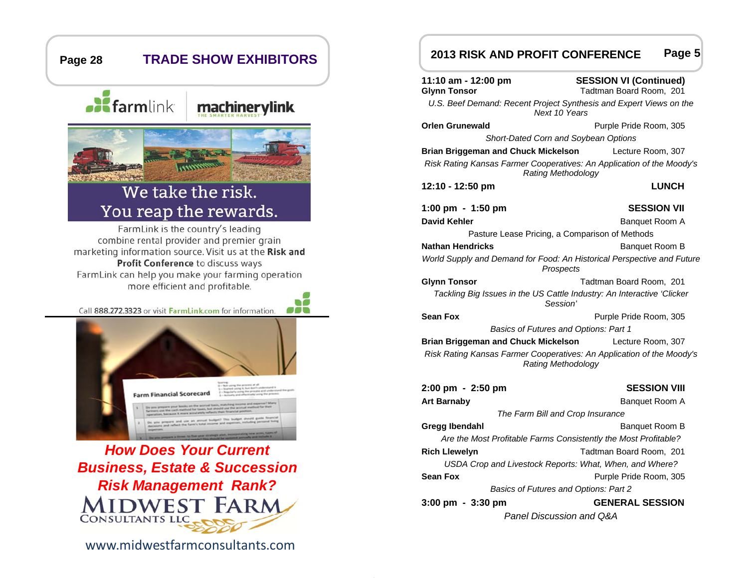

www.midwestfarmconsultants.com

#### **2013 RISK AND PROFIT CONFERENCE Page 5**

| 11:10 am - 12:00 pm<br><b>Glynn Tonsor</b>                                                         | <b>SESSION VI (Continued)</b><br>Tadtman Board Room, 201        |  |  |
|----------------------------------------------------------------------------------------------------|-----------------------------------------------------------------|--|--|
| U.S. Beef Demand: Recent Project Synthesis and Expert Views on the<br>Next 10 Years                |                                                                 |  |  |
| <b>Orlen Grunewald</b>                                                                             | Purple Pride Room, 305                                          |  |  |
| Short-Dated Corn and Soybean Options                                                               |                                                                 |  |  |
| <b>Brian Briggeman and Chuck Mickelson</b>                                                         | Lecture Room, 307                                               |  |  |
| Risk Rating Kansas Farmer Cooperatives: An Application of the Moody's<br>Rating Methodology        |                                                                 |  |  |
| 12:10 - 12:50 pm                                                                                   | <b>LUNCH</b>                                                    |  |  |
| 1:00 pm - 1:50 pm                                                                                  | <b>SESSION VII</b>                                              |  |  |
| David Kehler                                                                                       | Banquet Room A                                                  |  |  |
| Pasture Lease Pricing, a Comparison of Methods                                                     |                                                                 |  |  |
| <b>Nathan Hendricks</b>                                                                            | Banquet Room B                                                  |  |  |
| World Supply and Demand for Food: An Historical Perspective and Future<br>Prospects                |                                                                 |  |  |
| <b>Glynn Tonsor</b>                                                                                | Tadtman Board Room, 201                                         |  |  |
| Tackling Big Issues in the US Cattle Industry: An Interactive 'Clicker<br>Session'                 |                                                                 |  |  |
| <b>Sean Fox</b>                                                                                    | Purple Pride Room, 305                                          |  |  |
| Basics of Futures and Options: Part 1                                                              |                                                                 |  |  |
| <b>Brian Briggeman and Chuck Mickelson</b><br>Lecture Room, 307                                    |                                                                 |  |  |
| Risk Rating Kansas Farmer Cooperatives: An Application of the Moody's<br><b>Rating Methodology</b> |                                                                 |  |  |
| 2:00 pm - 2:50 pm                                                                                  | <b>SESSION VIII</b>                                             |  |  |
| <b>Art Barnaby</b>                                                                                 | Banquet Room A                                                  |  |  |
| The Farm Bill and Crop Insurance                                                                   |                                                                 |  |  |
| Gregg Ibendahl                                                                                     | Banquet Room B                                                  |  |  |
|                                                                                                    | Are the Most Profitable Farms Consistently the Most Profitable? |  |  |
| <b>Rich Llewelyn</b><br>Tadtman Board Room, 201                                                    |                                                                 |  |  |
| USDA Crop and Livestock Reports: What, When, and Where?                                            |                                                                 |  |  |
| <b>Sean Fox</b>                                                                                    | Purple Pride Room, 305                                          |  |  |
| Basics of Futures and Options: Part 2                                                              |                                                                 |  |  |
| 3:00 pm - 3:30 pm                                                                                  | <b>GENERAL SESSION</b>                                          |  |  |
| Panel Discussion and Q&A                                                                           |                                                                 |  |  |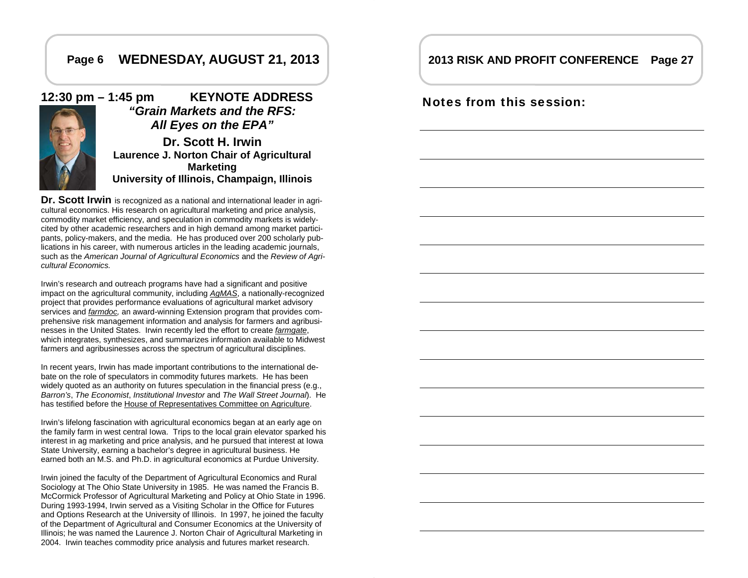## **Page 6 WEDNESDAY, AUGUST 21, 2013**

## **12:30 pm – 1:45 pm KEYNOTE ADDRESS**  *"Grain Markets and the RFS: All Eyes on the EPA"*

**Dr. Scott H. IrwinLaurence J. Norton Chair of Agricultural Marketing University of Illinois, Champaign, Illinois**

**Dr. Scott Irwin** is recognized as a national and international leader in agricultural economics. His research on agricultural marketing and price analysis, commodity market efficiency, and speculation in commodity markets is widelycited by other academic researchers and in high demand among market participants, policy-makers, and the media. He has produced over 200 scholarly publications in his career, with numerous articles in the leading academic journals, such as the *American Journal of Agricultural Economics* and the *Review of Agricultural Economics.*

Irwin's research and outreach programs have had a significant and positive impact on the agricultural community, including *AgMAS*, a nationally-recognized project that provides performance evaluations of agricultural market advisory services and *farmdoc,* an award-winning Extension program that provides comprehensive risk management information and analysis for farmers and agribusinesses in the United States. Irwin recently led the effort to create *farmgate*, which integrates, synthesizes, and summarizes information available to Midwest farmers and agribusinesses across the spectrum of agricultural disciplines.

In recent years, Irwin has made important contributions to the international debate on the role of speculators in commodity futures markets. He has been widely quoted as an authority on futures speculation in the financial press (e.g., *Barron's*, *The Economist*, *Institutional Investor* and *The Wall Street Journal*). He has testified before the House of Representatives Committee on Agriculture.

Irwin's lifelong fascination with agricultural economics began at an early age on the family farm in west central Iowa. Trips to the local grain elevator sparked his interest in ag marketing and price analysis, and he pursued that interest at Iowa State University, earning a bachelor's degree in agricultural business. He earned both an M.S. and Ph.D. in agricultural economics at Purdue University.

Irwin joined the faculty of the Department of Agricultural Economics and Rural Sociology at The Ohio State University in 1985. He was named the Francis B. McCormick Professor of Agricultural Marketing and Policy at Ohio State in 1996. During 1993-1994, Irwin served as a Visiting Scholar in the Office for Futures and Options Research at the University of Illinois. In 1997, he joined the faculty of the Department of Agricultural and Consumer Economics at the University of Illinois; he was named the Laurence J. Norton Chair of Agricultural Marketing in 2004. Irwin teaches commodity price analysis and futures market research.

## **2013 RISK AND PROFIT CONFERENCE Page 27**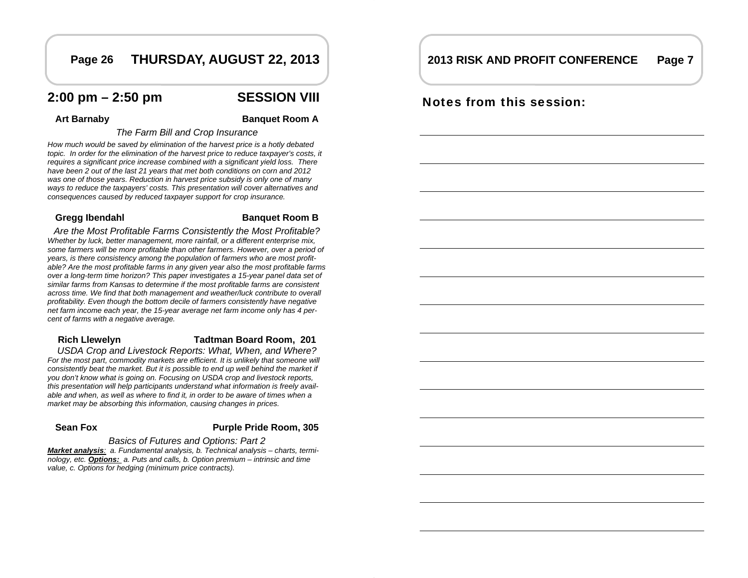## **Page 26 THURSDAY, AUGUST 22, 2013**

## **2:00 pm – 2:50 pm SESSION VIII**

Art Barnaby **Banquet Room A** 

#### *The Farm Bill and Crop Insurance*

*How much would be saved by elimination of the harvest price is a hotly debated topic. In order for the elimination of the harvest price to reduce taxpayer's costs, it requires a significant price increase combined with a significant yield loss. There have been 2 out of the last 21 years that met both conditions on corn and 2012 was one of those years. Reduction in harvest price subsidy is only one of many ways to reduce the taxpayers' costs. This presentation will cover alternatives and consequences caused by reduced taxpayer support for crop insurance.* 

#### **Gregg Ibendahl Banquet Room B**

*Are the Most Profitable Farms Consistently the Most Profitable? Whether by luck, better management, more rainfall, or a different enterprise mix, some farmers will be more profitable than other farmers. However, over a period of years, is there consistency among the population of farmers who are most profitable? Are the most profitable farms in any given year also the most profitable farms over a long-term time horizon? This paper investigates a 15-year panel data set of similar farms from Kansas to determine if the most profitable farms are consistent across time. We find that both management and weather/luck contribute to overall profitability. Even though the bottom decile of farmers consistently have negative net farm income each year, the 15-year average net farm income only has 4 percent of farms with a negative average.* 

## **Rich Llewelyn Tadtman Board Room, 201**

*USDA Crop and Livestock Reports: What, When, and Where?*  For the most part, commodity markets are efficient. It is unlikely that someone will consistently beat the market. But it is possible to end up well behind the market if *you don't know what is going on. Focusing on USDA crop and livestock reports, this presentation will help participants understand what information is freely available and when, as well as where to find it, in order to be aware of times when a market may be absorbing this information, causing changes in prices.* 

#### **Sean Fox**

#### **Purple Pride Room, 305**

#### *Basics of Futures and Options: Part 2*

*Market analysis: a. Fundamental analysis, b. Technical analysis – charts, terminology, etc. Options: a. Puts and calls, b. Option premium – intrinsic and time value, c. Options for hedging (minimum price contracts).* 

## **2013 RISK AND PROFIT CONFERENCE Page 7**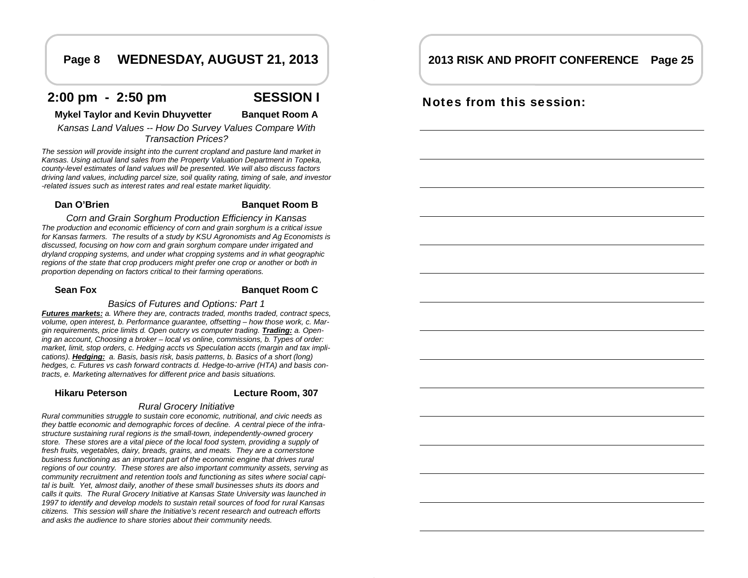## **Page 8 WEDNESDAY, AUGUST 21, 2013**

## **2:00 pm - 2:50 pm SESSION I**



### **Mykel Taylor and Kevin Dhuyvetter Banquet Room A**

*Kansas Land Values -- How Do Survey Values Compare With Transaction Prices?* 

*The session will provide insight into the current cropland and pasture land market in Kansas. Using actual land sales from the Property Valuation Department in Topeka, county-level estimates of land values will be presented. We will also discuss factors driving land values, including parcel size, soil quality rating, timing of sale, and investor -related issues such as interest rates and real estate market liquidity.* 

### **Dan O'Brien Banquet Room B**

*Corn and Grain Sorghum Production Efficiency in Kansas The production and economic efficiency of corn and grain sorghum is a critical issue for Kansas farmers. The results of a study by KSU Agronomists and Ag Economists is discussed, focusing on how corn and grain sorghum compare under irrigated and dryland cropping systems, and under what cropping systems and in what geographic regions of the state that crop producers might prefer one crop or another or both in proportion depending on factors critical to their farming operations.* 

#### **Sean Fox**

#### **Banquet Room C**

*Basics of Futures and Options: Part 1 Futures markets: a. Where they are, contracts traded, months traded, contract specs, volume, open interest, b. Performance guarantee, offsetting – how those work, c. Margin requirements, price limits d. Open outcry vs computer trading. Trading: a. Opening an account, Choosing a broker – local vs online, commissions, b. Types of order: market, limit, stop orders, c. Hedging accts vs Speculation accts (margin and tax implications). Hedging: a. Basis, basis risk, basis patterns, b. Basics of a short (long) hedges, c. Futures vs cash forward contracts d. Hedge-to-arrive (HTA) and basis con-*

#### **Hikaru Peterson**

**Lecture Room, 307** 

#### *Rural Grocery Initiative*

*tracts, e. Marketing alternatives for different price and basis situations.* 

*Rural communities struggle to sustain core economic, nutritional, and civic needs as they battle economic and demographic forces of decline. A central piece of the infrastructure sustaining rural regions is the small-town, independently-owned grocery store. These stores are a vital piece of the local food system, providing a supply of fresh fruits, vegetables, dairy, breads, grains, and meats. They are a cornerstone business functioning as an important part of the economic engine that drives rural regions of our country. These stores are also important community assets, serving as community recruitment and retention tools and functioning as sites where social capital is built. Yet, almost daily, another of these small businesses shuts its doors and calls it quits. The Rural Grocery Initiative at Kansas State University was launched in 1997 to identify and develop models to sustain retail sources of food for rural Kansas citizens. This session will share the Initiative's recent research and outreach efforts and asks the audience to share stories about their community needs.* 

## **2013 RISK AND PROFIT CONFERENCE Page 25**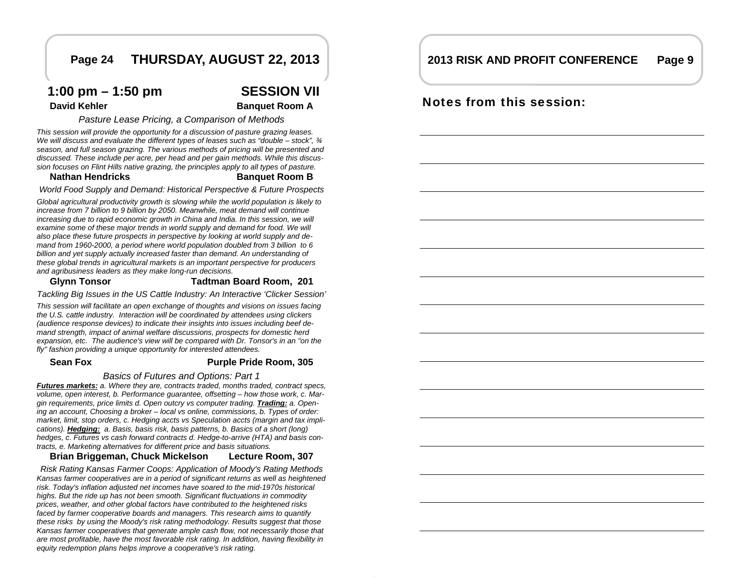## **Page 24 THURSDAY, AUGUST 22, 2013**

## **1:00 pm – 1:50 pm SESSION VII**

**David Kehler Banquet Room A** 

*Pasture Lease Pricing, a Comparison of Methods* 

*This session will provide the opportunity for a discussion of pasture grazing leases. We will discuss and evaluate the different types of leases such as "double – stock", ¾ season, and full season grazing. The various methods of pricing will be presented and discussed. These include per acre, per head and per gain methods. While this discussion focuses on Flint Hills native grazing, the principles apply to all types of pasture.* 

#### **Nathan Hendricks**

## **Banquet Room B**

*World Food Supply and Demand: Historical Perspective & Future Prospects* 

*Global agricultural productivity growth is slowing while the world population is likely to increase from 7 billion to 9 billion by 2050. Meanwhile, meat demand will continue increasing due to rapid economic growth in China and India. In this session, we will*  examine some of these major trends in world supply and demand for food. We will *also place these future prospects in perspective by looking at world supply and demand from 1960-2000, a period where world population doubled from 3 billion to 6 billion and yet supply actually increased faster than demand. An understanding of these global trends in agricultural markets is an important perspective for producers and agribusiness leaders as they make long-run decisions.* 

#### **Glynn Tonsor Tadtman Board Room, 201**

*Tackling Big Issues in the US Cattle Industry: An Interactive 'Clicker Session'* 

*This session will facilitate an open exchange of thoughts and visions on issues facing the U.S. cattle industry. Interaction will be coordinated by attendees using clickers (audience response devices) to indicate their insights into issues including beef demand strength, impact of animal welfare discussions, prospects for domestic herd expansion, etc. The audience's view will be compared with Dr. Tonsor's in an "on the fly" fashion providing a unique opportunity for interested attendees.* 

#### **Sean Fox**

### **Purple Pride Room, 305**

*Basics of Futures and Options: Part 1* 

*Futures markets: a. Where they are, contracts traded, months traded, contract specs, volume, open interest, b. Performance guarantee, offsetting – how those work, c. Margin requirements, price limits d. Open outcry vs computer trading. Trading: a. Opening an account, Choosing a broker – local vs online, commissions, b. Types of order: market, limit, stop orders, c. Hedging accts vs Speculation accts (margin and tax implications). Hedging: a. Basis, basis risk, basis patterns, b. Basics of a short (long) hedges, c. Futures vs cash forward contracts d. Hedge-to-arrive (HTA) and basis contracts, e. Marketing alternatives for different price and basis situations.* 

#### **Brian Briggeman, Chuck Mickelson Lecture Room, 307**

*Risk Rating Kansas Farmer Coops: Application of Moody's Rating Methods Kansas farmer cooperatives are in a period of significant returns as well as heightened risk. Today's inflation adjusted net incomes have soared to the mid-1970s historical highs. But the ride up has not been smooth. Significant fluctuations in commodity prices, weather, and other global factors have contributed to the heightened risks*  faced by farmer cooperative boards and managers. This research aims to quantify *these risks by using the Moody's risk rating methodology. Results suggest that those Kansas farmer cooperatives that generate ample cash flow, not necessarily those that are most profitable, have the most favorable risk rating. In addition, having flexibility in equity redemption plans helps improve a cooperative's risk rating.* 

#### **2013 RISK AND PROFIT CONFERENCEPage 9**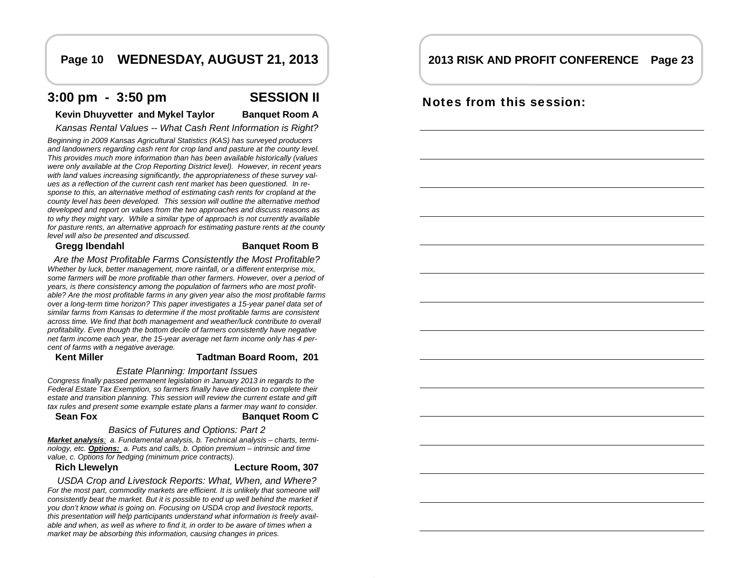## **Page 10 WEDNESDAY, AUGUST 21, 2013**

## **3:00 pm - 3:50 pm SESSION II**

### **Kevin Dhuyvetter and Mykel Taylor Banquet Room A**

*Kansas Rental Values -- What Cash Rent Information is Right?* 

*Beginning in 2009 Kansas Agricultural Statistics (KAS) has surveyed producers and landowners regarding cash rent for crop land and pasture at the county level. This provides much more information than has been available historically (values were only available at the Crop Reporting District level). However, in recent years with land values increasing significantly, the appropriateness of these survey values as a reflection of the current cash rent market has been questioned. In response to this, an alternative method of estimating cash rents for cropland at the county level has been developed. This session will outline the alternative method developed and report on values from the two approaches and discuss reasons as to why they might vary. While a similar type of approach is not currently available for pasture rents, an alternative approach for estimating pasture rents at the county level will also be presented and discussed.* 

#### **Gregg Ibendahl Banquet Room B**

*Are the Most Profitable Farms Consistently the Most Profitable? Whether by luck, better management, more rainfall, or a different enterprise mix, some farmers will be more profitable than other farmers. However, over a period of years, is there consistency among the population of farmers who are most profitable? Are the most profitable farms in any given year also the most profitable farms over a long-term time horizon? This paper investigates a 15-year panel data set of similar farms from Kansas to determine if the most profitable farms are consistent across time. We find that both management and weather/luck contribute to overall profitability. Even though the bottom decile of farmers consistently have negative net farm income each year, the 15-year average net farm income only has 4 percent of farms with a negative average.* 

### **Kent Miller Tadtman Board Room, 201**

#### *Estate Planning: Important Issues*

*Congress finally passed permanent legislation in January 2013 in regards to the Federal Estate Tax Exemption, so farmers finally have direction to complete their estate and transition planning. This session will review the current estate and gift tax rules and present some example estate plans a farmer may want to consider.* 

#### **Sean Fox**

**Banquet Room C** 

#### *Basics of Futures and Options: Part 2*

*Market analysis: a. Fundamental analysis, b. Technical analysis – charts, terminology, etc. Options: a. Puts and calls, b. Option premium – intrinsic and time value, c. Options for hedging (minimum price contracts).* 

## **Rich Llewelyn Lecture Room, 307**

*USDA Crop and Livestock Reports: What, When, and Where?*  For the most part, commodity markets are efficient. It is unlikely that someone will *consistently beat the market. But it is possible to end up well behind the market if you don't know what is going on. Focusing on USDA crop and livestock reports, this presentation will help participants understand what information is freely available and when, as well as where to find it, in order to be aware of times when a market may be absorbing this information, causing changes in prices.* 

## **2013 RISK AND PROFIT CONFERENCE Page 23**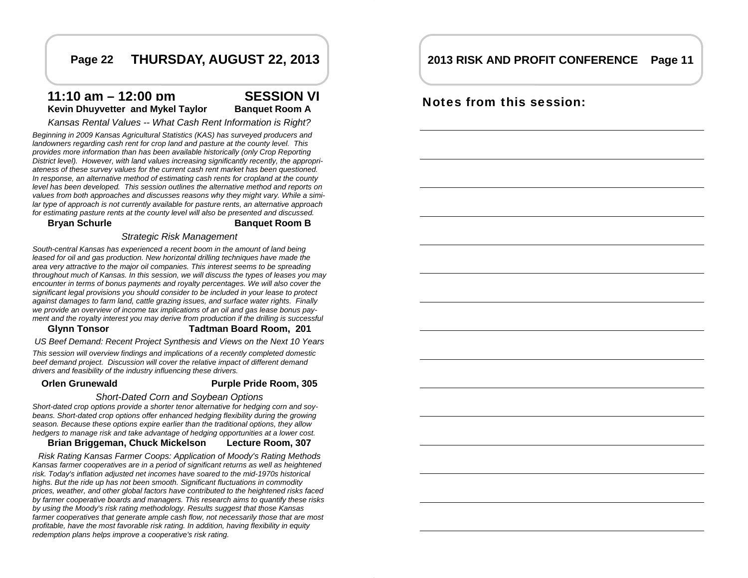## **Page 22 THURSDAY, AUGUST 22, 2013**

## **11:10 am – 12:00 pm SESSION VI Kevin Dhuyvetter and Mykel Taylor Banquet Room A**

*Kansas Rental Values -- What Cash Rent Information is Right?* 

*Beginning in 2009 Kansas Agricultural Statistics (KAS) has surveyed producers and landowners regarding cash rent for crop land and pasture at the county level. This provides more information than has been available historically (only Crop Reporting District level). However, with land values increasing significantly recently, the appropriateness of these survey values for the current cash rent market has been questioned. In response, an alternative method of estimating cash rents for cropland at the county level has been developed. This session outlines the alternative method and reports on values from both approaches and discusses reasons why they might vary. While a similar type of approach is not currently available for pasture rents, an alternative approach for estimating pasture rents at the county level will also be presented and discussed.* 

**Bryan Schurle Banquet Room B** 

### *Strategic Risk Management*

*South-central Kansas has experienced a recent boom in the amount of land being leased for oil and gas production. New horizontal drilling techniques have made the area very attractive to the major oil companies. This interest seems to be spreading throughout much of Kansas. In this session, we will discuss the types of leases you may encounter in terms of bonus payments and royalty percentages. We will also cover the significant legal provisions you should consider to be included in your lease to protect against damages to farm land, cattle grazing issues, and surface water rights. Finally we provide an overview of income tax implications of an oil and gas lease bonus payment and the royalty interest you may derive from production if the drilling is successful* 

### **Glynn Tonsor Tadtman Board Room, 201**

*US Beef Demand: Recent Project Synthesis and Views on the Next 10 Years* 

*This session will overview findings and implications of a recently completed domestic beef demand project. Discussion will cover the relative impact of different demand drivers and feasibility of the industry influencing these drivers.* 

#### **Orlen Grunewald**

**Purple Pride Room, 305** 

#### *Short-Dated Corn and Soybean Options*

*Short-dated crop options provide a shorter tenor alternative for hedging corn and soybeans. Short-dated crop options offer enhanced hedging flexibility during the growing season. Because these options expire earlier than the traditional options, they allow hedgers to manage risk and take advantage of hedging opportunities at a lower cost.* 

#### **Brian Briggeman, Chuck Mickelson Lecture Room, 307**

*Risk Rating Kansas Farmer Coops: Application of Moody's Rating Methods Kansas farmer cooperatives are in a period of significant returns as well as heightened risk. Today's inflation adjusted net incomes have soared to the mid-1970s historical highs. But the ride up has not been smooth. Significant fluctuations in commodity prices, weather, and other global factors have contributed to the heightened risks faced by farmer cooperative boards and managers. This research aims to quantify these risks by using the Moody's risk rating methodology. Results suggest that those Kansas farmer cooperatives that generate ample cash flow, not necessarily those that are most profitable, have the most favorable risk rating. In addition, having flexibility in equity redemption plans helps improve a cooperative's risk rating.* 

### **2013 RISK AND PROFIT CONFERENCE Page 11**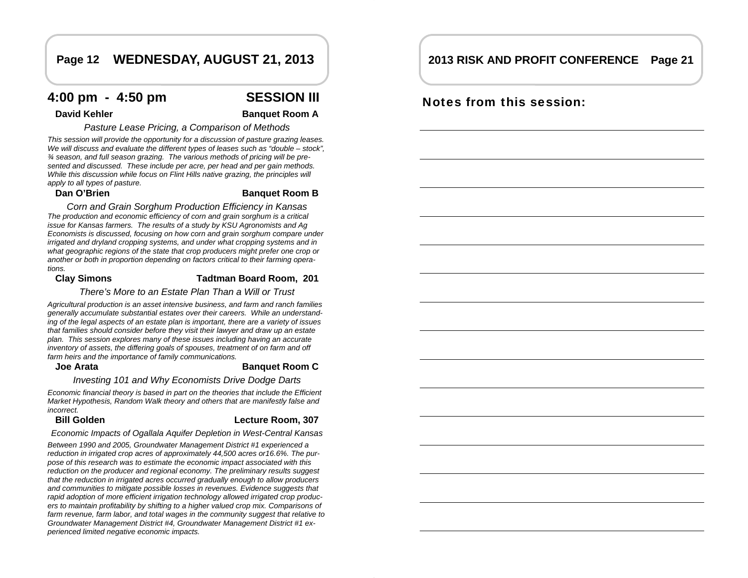## **Page 12 WEDNESDAY, AUGUST 21, 2013**

## **4:00 pm - 4:50 pm SESSION III**

### **David Kehler Banquet Room A**

*Pasture Lease Pricing, a Comparison of Methods* 

*This session will provide the opportunity for a discussion of pasture grazing leases. We will discuss and evaluate the different types of leases such as "double – stock", ¾ season, and full season grazing. The various methods of pricing will be presented and discussed. These include per acre, per head and per gain methods. While this discussion while focus on Flint Hills native grazing, the principles will apply to all types of pasture.* 

### **Dan O'Brien Banquet Room B**

*Corn and Grain Sorghum Production Efficiency in Kansas The production and economic efficiency of corn and grain sorghum is a critical issue for Kansas farmers. The results of a study by KSU Agronomists and Ag Economists is discussed, focusing on how corn and grain sorghum compare under irrigated and dryland cropping systems, and under what cropping systems and in what geographic regions of the state that crop producers might prefer one crop or another or both in proportion depending on factors critical to their farming operations.* 

### **Clay Simons Tadtman Board Room, 201**

*There's More to an Estate Plan Than a Will or Trust* 

*Agricultural production is an asset intensive business, and farm and ranch families generally accumulate substantial estates over their careers. While an understanding of the legal aspects of an estate plan is important, there are a variety of issues that families should consider before they visit their lawyer and draw up an estate plan. This session explores many of these issues including having an accurate inventory of assets, the differing goals of spouses, treatment of on farm and off farm heirs and the importance of family communications.* 

#### **Joe Arata**

### **Banquet Room C**

*Investing 101 and Why Economists Drive Dodge Darts* 

*Economic financial theory is based in part on the theories that include the Efficient Market Hypothesis, Random Walk theory and others that are manifestly false and incorrect.* 

### **Bill Golden**

#### **Lecture Room, 307**

*Economic Impacts of Ogallala Aquifer Depletion in West-Central Kansas* 

*Between 1990 and 2005, Groundwater Management District #1 experienced a reduction in irrigated crop acres of approximately 44,500 acres or16.6%. The purpose of this research was to estimate the economic impact associated with this reduction on the producer and regional economy. The preliminary results suggest that the reduction in irrigated acres occurred gradually enough to allow producers and communities to mitigate possible losses in revenues. Evidence suggests that rapid adoption of more efficient irrigation technology allowed irrigated crop producers to maintain profitability by shifting to a higher valued crop mix. Comparisons of farm revenue, farm labor, and total wages in the community suggest that relative to Groundwater Management District #4, Groundwater Management District #1 experienced limited negative economic impacts.* 

## **2013 RISK AND PROFIT CONFERENCE Page 21**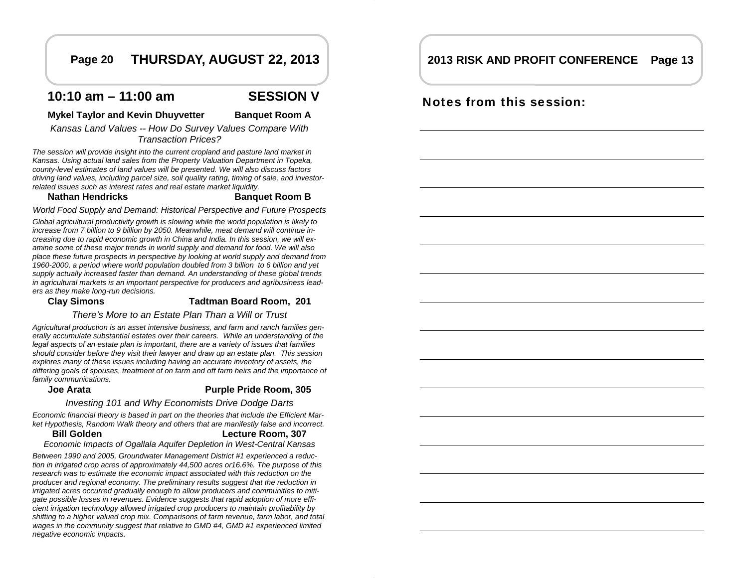## **Page 20 THURSDAY, AUGUST 22, 2013**

## **10:10 am – 11:00 am SESSION V**

### **Mykel Taylor and Kevin Dhuyvetter Banquet Room A**

*Kansas Land Values -- How Do Survey Values Compare With Transaction Prices?* 

*The session will provide insight into the current cropland and pasture land market in Kansas. Using actual land sales from the Property Valuation Department in Topeka, county-level estimates of land values will be presented. We will also discuss factors driving land values, including parcel size, soil quality rating, timing of sale, and investorrelated issues such as interest rates and real estate market liquidity.* 

### **Nathan Hendricks**

#### **Banquet Room B**

*World Food Supply and Demand: Historical Perspective and Future Prospects* 

*Global agricultural productivity growth is slowing while the world population is likely to increase from 7 billion to 9 billion by 2050. Meanwhile, meat demand will continue increasing due to rapid economic growth in China and India. In this session, we will examine some of these major trends in world supply and demand for food. We will also place these future prospects in perspective by looking at world supply and demand from 1960-2000, a period where world population doubled from 3 billion to 6 billion and yet supply actually increased faster than demand. An understanding of these global trends in agricultural markets is an important perspective for producers and agribusiness leaders as they make long-run decisions.* 

### **Clay Simons Tadtman Board Room, 201**

### *There's More to an Estate Plan Than a Will or Trust*

*Agricultural production is an asset intensive business, and farm and ranch families generally accumulate substantial estates over their careers. While an understanding of the legal aspects of an estate plan is important, there are a variety of issues that families should consider before they visit their lawyer and draw up an estate plan. This session explores many of these issues including having an accurate inventory of assets, the differing goals of spouses, treatment of on farm and off farm heirs and the importance of family communications.* 

#### **Joe Arata**

#### **Purple Pride Room, 305**

### *Investing 101 and Why Economists Drive Dodge Darts*

*Economic financial theory is based in part on the theories that include the Efficient Market Hypothesis, Random Walk theory and others that are manifestly false and incorrect.* 

#### **Bill GoldenLecture Room, 307**

*Economic Impacts of Ogallala Aquifer Depletion in West-Central Kansas* 

*Between 1990 and 2005, Groundwater Management District #1 experienced a reduction in irrigated crop acres of approximately 44,500 acres or16.6%. The purpose of this research was to estimate the economic impact associated with this reduction on the producer and regional economy. The preliminary results suggest that the reduction in irrigated acres occurred gradually enough to allow producers and communities to mitigate possible losses in revenues. Evidence suggests that rapid adoption of more efficient irrigation technology allowed irrigated crop producers to maintain profitability by shifting to a higher valued crop mix. Comparisons of farm revenue, farm labor, and total wages in the community suggest that relative to GMD #4, GMD #1 experienced limited negative economic impacts.* 

## **2013 RISK AND PROFIT CONFERENCE Page 13**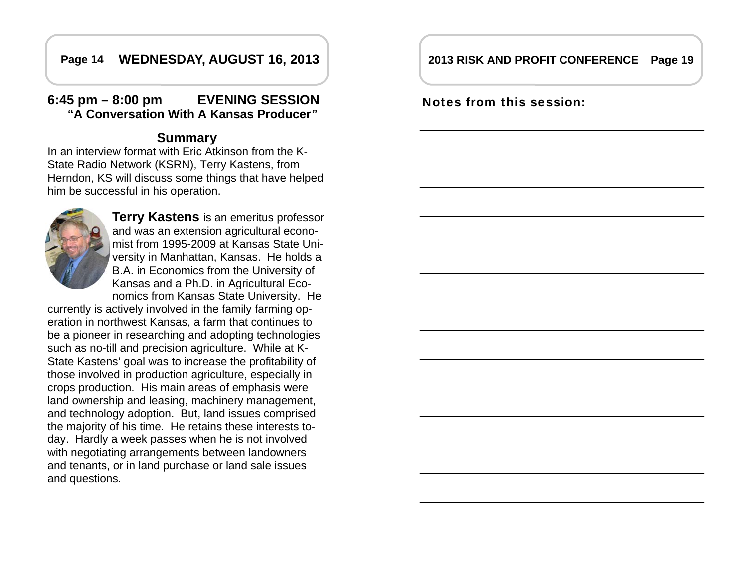## **Page 14 WEDNESDAY, AUGUST 16, 2013**

## **6:45 pm – 8:00 pm EVENING SESSION "A Conversation With A Kansas Producer***"*

## **Summary**

In an interview format with Eric Atkinson from the K-State Radio Network (KSRN), Terry Kastens, from Herndon, KS will discuss some things that have helped him be successful in his operation.



**Terry Kastens** is an emeritus professor and was an extension agricultural economist from 1995-2009 at Kansas State University in Manhattan, Kansas. He holds a B.A. in Economics from the University of Kansas and a Ph.D. in Agricultural Economics from Kansas State University. He

currently is actively involved in the family farming operation in northwest Kansas, a farm that continues to be a pioneer in researching and adopting technologies such as no-till and precision agriculture. While at K-State Kastens' goal was to increase the profitability of those involved in production agriculture, especially in crops production. His main areas of emphasis were land ownership and leasing, machinery management, and technology adoption. But, land issues comprised the majority of his time. He retains these interests today. Hardly a week passes when he is not involved with negotiating arrangements between landowners and tenants, or in land purchase or land sale issues and questions.

## **2013 RISK AND PROFIT CONFERENCE Page 19**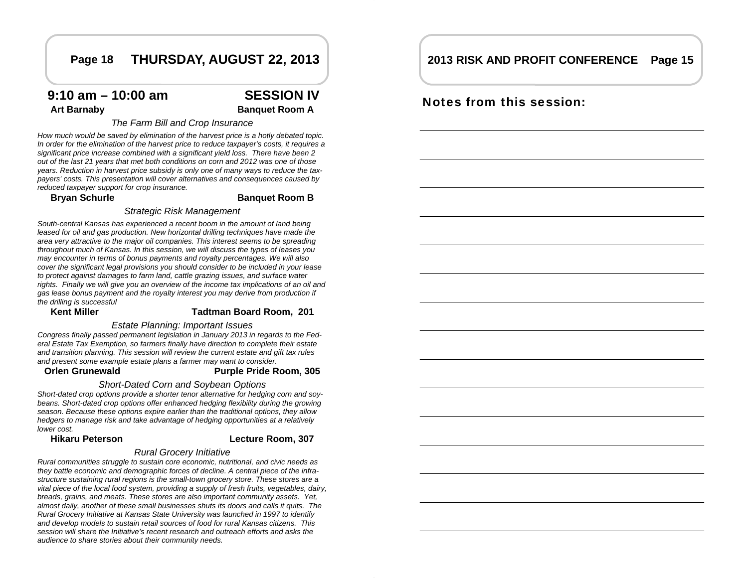## **Page 18 THURSDAY, AUGUST 22, 2013**

## **9:10 am – 10:00 am SESSION IV**

Art Barnaby **Banquet Room A** 

### *The Farm Bill and Crop Insurance*

*How much would be saved by elimination of the harvest price is a hotly debated topic. In order for the elimination of the harvest price to reduce taxpayer's costs, it requires a significant price increase combined with a significant yield loss. There have been 2 out of the last 21 years that met both conditions on corn and 2012 was one of those years. Reduction in harvest price subsidy is only one of many ways to reduce the taxpayers' costs. This presentation will cover alternatives and consequences caused by reduced taxpayer support for crop insurance.* 

**Bryan Schurle Banquet Room B** 

#### *Strategic Risk Management*

*South-central Kansas has experienced a recent boom in the amount of land being leased for oil and gas production. New horizontal drilling techniques have made the area very attractive to the major oil companies. This interest seems to be spreading throughout much of Kansas. In this session, we will discuss the types of leases you may encounter in terms of bonus payments and royalty percentages. We will also cover the significant legal provisions you should consider to be included in your lease to protect against damages to farm land, cattle grazing issues, and surface water rights. Finally we will give you an overview of the income tax implications of an oil and gas lease bonus payment and the royalty interest you may derive from production if the drilling is successful* 

## **Kent Miller Compared Tadtman Board Room, 2011**

*Estate Planning: Important Issues* 

*Congress finally passed permanent legislation in January 2013 in regards to the Federal Estate Tax Exemption, so farmers finally have direction to complete their estate and transition planning. This session will review the current estate and gift tax rules and present some example estate plans a farmer may want to consider.* 

#### **Orlen Grunewald**

**Purple Pride Room, 305** 

### *Short-Dated Corn and Soybean Options*

*Short-dated crop options provide a shorter tenor alternative for hedging corn and soybeans. Short-dated crop options offer enhanced hedging flexibility during the growing season. Because these options expire earlier than the traditional options, they allow hedgers to manage risk and take advantage of hedging opportunities at a relatively lower cost.* 

### **Hikaru Peterson**

### **Lecture Room, 307**

#### *Rural Grocery Initiative*

*Rural communities struggle to sustain core economic, nutritional, and civic needs as they battle economic and demographic forces of decline. A central piece of the infrastructure sustaining rural regions is the small-town grocery store. These stores are a vital piece of the local food system, providing a supply of fresh fruits, vegetables, dairy, breads, grains, and meats. These stores are also important community assets. Yet, almost daily, another of these small businesses shuts its doors and calls it quits. The Rural Grocery Initiative at Kansas State University was launched in 1997 to identify and develop models to sustain retail sources of food for rural Kansas citizens. This session will share the Initiative's recent research and outreach efforts and asks the audience to share stories about their community needs.* 

## **2013 RISK AND PROFIT CONFERENCE Page 15**